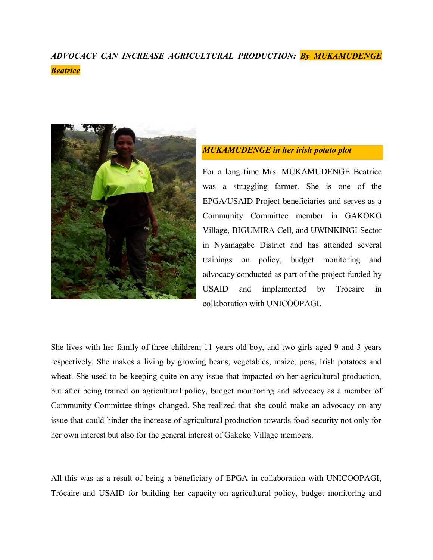## *ADVOCACY CAN INCREASE AGRICULTURAL PRODUCTION: By MUKAMUDENGE Beatrice*



## *MUKAMUDENGE in her irish potato plot*

For a long time Mrs. MUKAMUDENGE Beatrice was a struggling farmer. She is one of the EPGA/USAID Project beneficiaries and serves as a Community Committee member in GAKOKO Village, BIGUMIRA Cell, and UWINKINGI Sector in Nyamagabe District and has attended several trainings on policy, budget monitoring and advocacy conducted as part of the project funded by USAID and implemented by Trócaire in collaboration with UNICOOPAGI.

She lives with her family of three children; 11 years old boy, and two girls aged 9 and 3 years respectively. She makes a living by growing beans, vegetables, maize, peas, Irish potatoes and wheat. She used to be keeping quite on any issue that impacted on her agricultural production, but after being trained on agricultural policy, budget monitoring and advocacy as a member of Community Committee things changed. She realized that she could make an advocacy on any issue that could hinder the increase of agricultural production towards food security not only for her own interest but also for the general interest of Gakoko Village members.

All this was as a result of being a beneficiary of EPGA in collaboration with UNICOOPAGI, Trócaire and USAID for building her capacity on agricultural policy, budget monitoring and